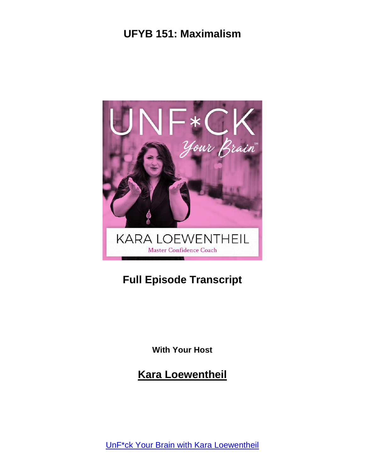

# **Full Episode Transcript**

**With Your Host**

**Kara Loewentheil**

UnF\*ck Your Brain with Kara [Loewentheil](https://unfuckyourbrain.com/podcast/)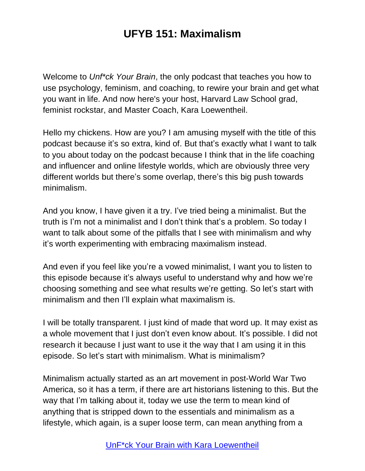Welcome to *Unf\*ck Your Brain*, the only podcast that teaches you how to use psychology, feminism, and coaching, to rewire your brain and get what you want in life. And now here's your host, Harvard Law School grad, feminist rockstar, and Master Coach, Kara Loewentheil.

Hello my chickens. How are you? I am amusing myself with the title of this podcast because it's so extra, kind of. But that's exactly what I want to talk to you about today on the podcast because I think that in the life coaching and influencer and online lifestyle worlds, which are obviously three very different worlds but there's some overlap, there's this big push towards minimalism.

And you know, I have given it a try. I've tried being a minimalist. But the truth is I'm not a minimalist and I don't think that's a problem. So today I want to talk about some of the pitfalls that I see with minimalism and why it's worth experimenting with embracing maximalism instead.

And even if you feel like you're a vowed minimalist, I want you to listen to this episode because it's always useful to understand why and how we're choosing something and see what results we're getting. So let's start with minimalism and then I'll explain what maximalism is.

I will be totally transparent. I just kind of made that word up. It may exist as a whole movement that I just don't even know about. It's possible. I did not research it because I just want to use it the way that I am using it in this episode. So let's start with minimalism. What is minimalism?

Minimalism actually started as an art movement in post-World War Two America, so it has a term, if there are art historians listening to this. But the way that I'm talking about it, today we use the term to mean kind of anything that is stripped down to the essentials and minimalism as a lifestyle, which again, is a super loose term, can mean anything from a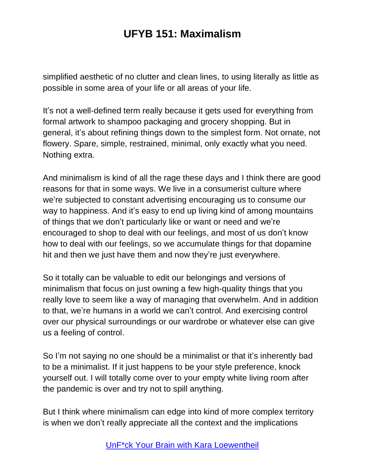simplified aesthetic of no clutter and clean lines, to using literally as little as possible in some area of your life or all areas of your life.

It's not a well-defined term really because it gets used for everything from formal artwork to shampoo packaging and grocery shopping. But in general, it's about refining things down to the simplest form. Not ornate, not flowery. Spare, simple, restrained, minimal, only exactly what you need. Nothing extra.

And minimalism is kind of all the rage these days and I think there are good reasons for that in some ways. We live in a consumerist culture where we're subjected to constant advertising encouraging us to consume our way to happiness. And it's easy to end up living kind of among mountains of things that we don't particularly like or want or need and we're encouraged to shop to deal with our feelings, and most of us don't know how to deal with our feelings, so we accumulate things for that dopamine hit and then we just have them and now they're just everywhere.

So it totally can be valuable to edit our belongings and versions of minimalism that focus on just owning a few high-quality things that you really love to seem like a way of managing that overwhelm. And in addition to that, we're humans in a world we can't control. And exercising control over our physical surroundings or our wardrobe or whatever else can give us a feeling of control.

So I'm not saying no one should be a minimalist or that it's inherently bad to be a minimalist. If it just happens to be your style preference, knock yourself out. I will totally come over to your empty white living room after the pandemic is over and try not to spill anything.

But I think where minimalism can edge into kind of more complex territory is when we don't really appreciate all the context and the implications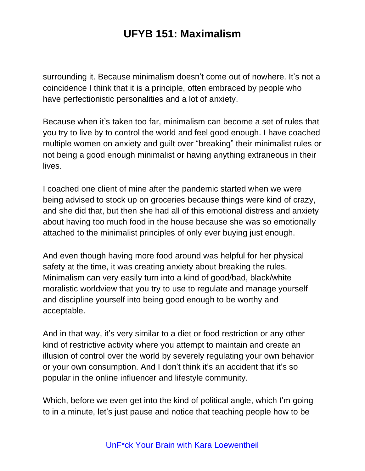surrounding it. Because minimalism doesn't come out of nowhere. It's not a coincidence I think that it is a principle, often embraced by people who have perfectionistic personalities and a lot of anxiety.

Because when it's taken too far, minimalism can become a set of rules that you try to live by to control the world and feel good enough. I have coached multiple women on anxiety and guilt over "breaking" their minimalist rules or not being a good enough minimalist or having anything extraneous in their lives.

I coached one client of mine after the pandemic started when we were being advised to stock up on groceries because things were kind of crazy, and she did that, but then she had all of this emotional distress and anxiety about having too much food in the house because she was so emotionally attached to the minimalist principles of only ever buying just enough.

And even though having more food around was helpful for her physical safety at the time, it was creating anxiety about breaking the rules. Minimalism can very easily turn into a kind of good/bad, black/white moralistic worldview that you try to use to regulate and manage yourself and discipline yourself into being good enough to be worthy and acceptable.

And in that way, it's very similar to a diet or food restriction or any other kind of restrictive activity where you attempt to maintain and create an illusion of control over the world by severely regulating your own behavior or your own consumption. And I don't think it's an accident that it's so popular in the online influencer and lifestyle community.

Which, before we even get into the kind of political angle, which I'm going to in a minute, let's just pause and notice that teaching people how to be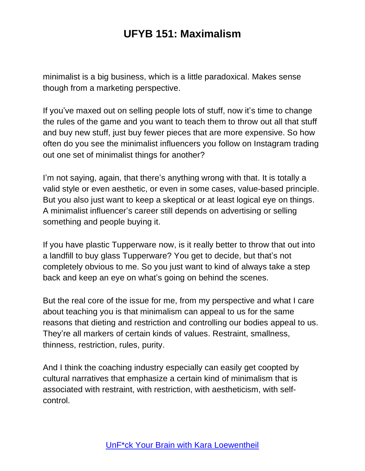minimalist is a big business, which is a little paradoxical. Makes sense though from a marketing perspective.

If you've maxed out on selling people lots of stuff, now it's time to change the rules of the game and you want to teach them to throw out all that stuff and buy new stuff, just buy fewer pieces that are more expensive. So how often do you see the minimalist influencers you follow on Instagram trading out one set of minimalist things for another?

I'm not saying, again, that there's anything wrong with that. It is totally a valid style or even aesthetic, or even in some cases, value-based principle. But you also just want to keep a skeptical or at least logical eye on things. A minimalist influencer's career still depends on advertising or selling something and people buying it.

If you have plastic Tupperware now, is it really better to throw that out into a landfill to buy glass Tupperware? You get to decide, but that's not completely obvious to me. So you just want to kind of always take a step back and keep an eye on what's going on behind the scenes.

But the real core of the issue for me, from my perspective and what I care about teaching you is that minimalism can appeal to us for the same reasons that dieting and restriction and controlling our bodies appeal to us. They're all markers of certain kinds of values. Restraint, smallness, thinness, restriction, rules, purity.

And I think the coaching industry especially can easily get coopted by cultural narratives that emphasize a certain kind of minimalism that is associated with restraint, with restriction, with aestheticism, with selfcontrol.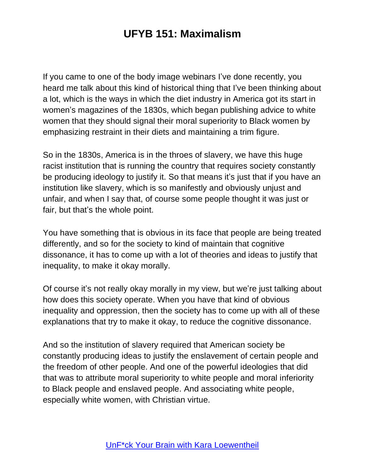If you came to one of the body image webinars I've done recently, you heard me talk about this kind of historical thing that I've been thinking about a lot, which is the ways in which the diet industry in America got its start in women's magazines of the 1830s, which began publishing advice to white women that they should signal their moral superiority to Black women by emphasizing restraint in their diets and maintaining a trim figure.

So in the 1830s, America is in the throes of slavery, we have this huge racist institution that is running the country that requires society constantly be producing ideology to justify it. So that means it's just that if you have an institution like slavery, which is so manifestly and obviously unjust and unfair, and when I say that, of course some people thought it was just or fair, but that's the whole point.

You have something that is obvious in its face that people are being treated differently, and so for the society to kind of maintain that cognitive dissonance, it has to come up with a lot of theories and ideas to justify that inequality, to make it okay morally.

Of course it's not really okay morally in my view, but we're just talking about how does this society operate. When you have that kind of obvious inequality and oppression, then the society has to come up with all of these explanations that try to make it okay, to reduce the cognitive dissonance.

And so the institution of slavery required that American society be constantly producing ideas to justify the enslavement of certain people and the freedom of other people. And one of the powerful ideologies that did that was to attribute moral superiority to white people and moral inferiority to Black people and enslaved people. And associating white people, especially white women, with Christian virtue.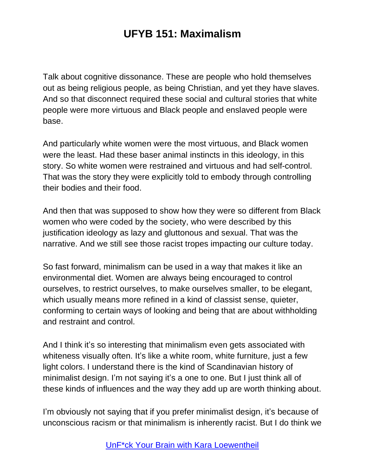Talk about cognitive dissonance. These are people who hold themselves out as being religious people, as being Christian, and yet they have slaves. And so that disconnect required these social and cultural stories that white people were more virtuous and Black people and enslaved people were base.

And particularly white women were the most virtuous, and Black women were the least. Had these baser animal instincts in this ideology, in this story. So white women were restrained and virtuous and had self-control. That was the story they were explicitly told to embody through controlling their bodies and their food.

And then that was supposed to show how they were so different from Black women who were coded by the society, who were described by this justification ideology as lazy and gluttonous and sexual. That was the narrative. And we still see those racist tropes impacting our culture today.

So fast forward, minimalism can be used in a way that makes it like an environmental diet. Women are always being encouraged to control ourselves, to restrict ourselves, to make ourselves smaller, to be elegant, which usually means more refined in a kind of classist sense, quieter, conforming to certain ways of looking and being that are about withholding and restraint and control.

And I think it's so interesting that minimalism even gets associated with whiteness visually often. It's like a white room, white furniture, just a few light colors. I understand there is the kind of Scandinavian history of minimalist design. I'm not saying it's a one to one. But I just think all of these kinds of influences and the way they add up are worth thinking about.

I'm obviously not saying that if you prefer minimalist design, it's because of unconscious racism or that minimalism is inherently racist. But I do think we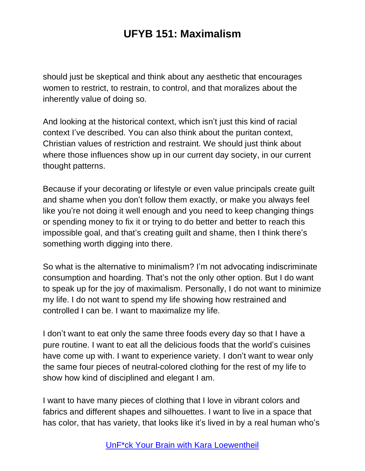should just be skeptical and think about any aesthetic that encourages women to restrict, to restrain, to control, and that moralizes about the inherently value of doing so.

And looking at the historical context, which isn't just this kind of racial context I've described. You can also think about the puritan context, Christian values of restriction and restraint. We should just think about where those influences show up in our current day society, in our current thought patterns.

Because if your decorating or lifestyle or even value principals create guilt and shame when you don't follow them exactly, or make you always feel like you're not doing it well enough and you need to keep changing things or spending money to fix it or trying to do better and better to reach this impossible goal, and that's creating guilt and shame, then I think there's something worth digging into there.

So what is the alternative to minimalism? I'm not advocating indiscriminate consumption and hoarding. That's not the only other option. But I do want to speak up for the joy of maximalism. Personally, I do not want to minimize my life. I do not want to spend my life showing how restrained and controlled I can be. I want to maximalize my life.

I don't want to eat only the same three foods every day so that I have a pure routine. I want to eat all the delicious foods that the world's cuisines have come up with. I want to experience variety. I don't want to wear only the same four pieces of neutral-colored clothing for the rest of my life to show how kind of disciplined and elegant I am.

I want to have many pieces of clothing that I love in vibrant colors and fabrics and different shapes and silhouettes. I want to live in a space that has color, that has variety, that looks like it's lived in by a real human who's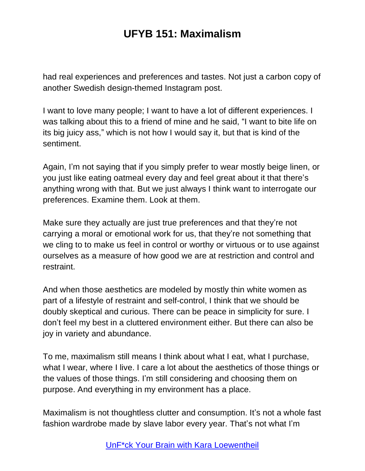had real experiences and preferences and tastes. Not just a carbon copy of another Swedish design-themed Instagram post.

I want to love many people; I want to have a lot of different experiences. I was talking about this to a friend of mine and he said, "I want to bite life on its big juicy ass," which is not how I would say it, but that is kind of the sentiment.

Again, I'm not saying that if you simply prefer to wear mostly beige linen, or you just like eating oatmeal every day and feel great about it that there's anything wrong with that. But we just always I think want to interrogate our preferences. Examine them. Look at them.

Make sure they actually are just true preferences and that they're not carrying a moral or emotional work for us, that they're not something that we cling to to make us feel in control or worthy or virtuous or to use against ourselves as a measure of how good we are at restriction and control and restraint.

And when those aesthetics are modeled by mostly thin white women as part of a lifestyle of restraint and self-control, I think that we should be doubly skeptical and curious. There can be peace in simplicity for sure. I don't feel my best in a cluttered environment either. But there can also be joy in variety and abundance.

To me, maximalism still means I think about what I eat, what I purchase, what I wear, where I live. I care a lot about the aesthetics of those things or the values of those things. I'm still considering and choosing them on purpose. And everything in my environment has a place.

Maximalism is not thoughtless clutter and consumption. It's not a whole fast fashion wardrobe made by slave labor every year. That's not what I'm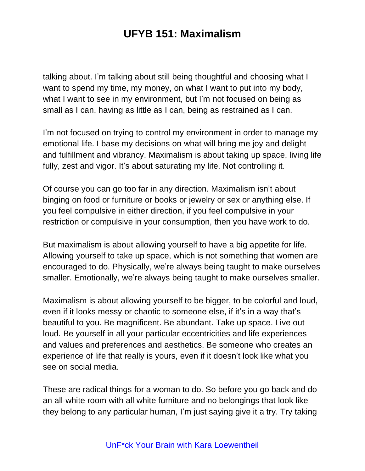talking about. I'm talking about still being thoughtful and choosing what I want to spend my time, my money, on what I want to put into my body, what I want to see in my environment, but I'm not focused on being as small as I can, having as little as I can, being as restrained as I can.

I'm not focused on trying to control my environment in order to manage my emotional life. I base my decisions on what will bring me joy and delight and fulfillment and vibrancy. Maximalism is about taking up space, living life fully, zest and vigor. It's about saturating my life. Not controlling it.

Of course you can go too far in any direction. Maximalism isn't about binging on food or furniture or books or jewelry or sex or anything else. If you feel compulsive in either direction, if you feel compulsive in your restriction or compulsive in your consumption, then you have work to do.

But maximalism is about allowing yourself to have a big appetite for life. Allowing yourself to take up space, which is not something that women are encouraged to do. Physically, we're always being taught to make ourselves smaller. Emotionally, we're always being taught to make ourselves smaller.

Maximalism is about allowing yourself to be bigger, to be colorful and loud, even if it looks messy or chaotic to someone else, if it's in a way that's beautiful to you. Be magnificent. Be abundant. Take up space. Live out loud. Be yourself in all your particular eccentricities and life experiences and values and preferences and aesthetics. Be someone who creates an experience of life that really is yours, even if it doesn't look like what you see on social media.

These are radical things for a woman to do. So before you go back and do an all-white room with all white furniture and no belongings that look like they belong to any particular human, I'm just saying give it a try. Try taking